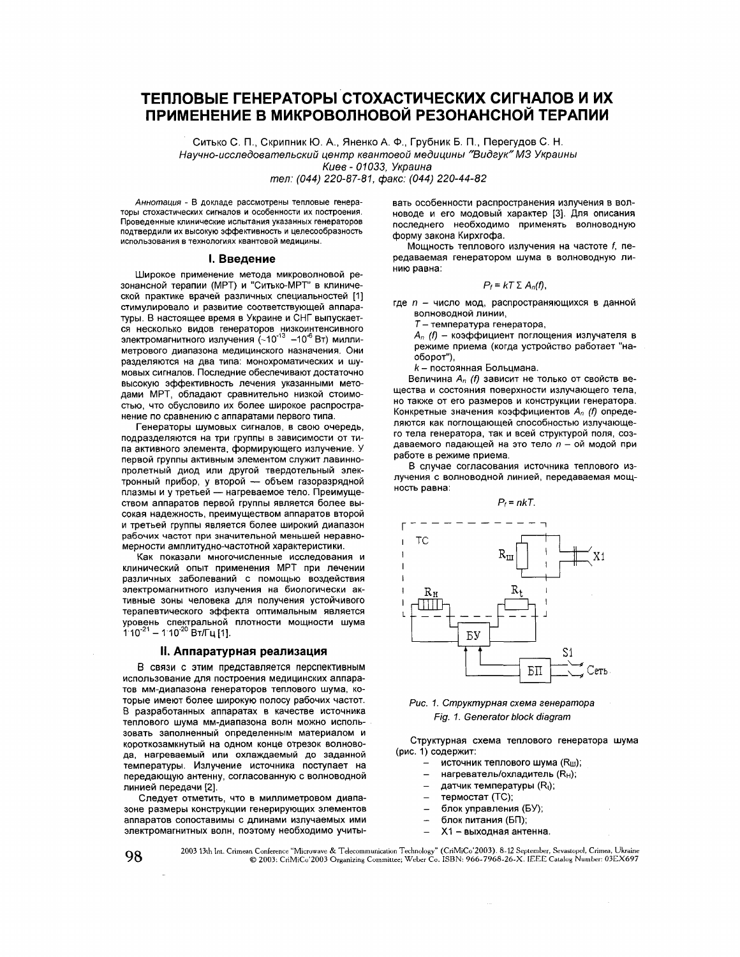# ТЕПЛОВЫЕ ГЕНЕРАТОРЫ СТОХАСТИЧЕСКИХ СИГНАЛОВ И ИХ ПРИМЕНЕНИЕ В МИКРОВОЛНОВОЙ РЕЗОНАНСНОЙ ТЕРАПИИ

Ситько С. П., Скрипник Ю. А., Яненко А. Ф., Грубник Б. П., Перегудов С. Н.

Научно-исследовательский центр квантовой медицины "Видгук" МЗ Украины

Киев - 01033. Украина

тел: (044) 220-87-81, факс: (044) 220-44-82

Аннотация - В докладе рассмотрены тепловые генераторы стохастических сигналов и особенности их построения. Проведенные клинические испытания указанных генераторов подтвердили их высокую эффективность и целесообразность использования в технологиях квантовой медицины

## **І. Введение**

Широкое применение метода микроволновой резонансной терапии (МРТ) и "Ситько-МРТ" в клинической практике врачей различных специальностей [1] стимулировало и развитие соответствующей аппаратуры. В настоящее время в Украине и СНГ выпускается несколько видов генераторов низкоинтенсивного<br>электромагнитного излучения (~10<sup>-13</sup> -10<sup>-6</sup> Вт) миллиметрового диапазона медицинского назначения. Они разделяются на два типа: монохроматических и шумовых сигналов. Последние обеспечивают достаточно высокую эффективность лечения указанными методами MPT, обладают сравнительно низкой стоимостью, что обусловило их более широкое распространение по сравнению с аппаратами первого типа.

Генераторы шумовых сигналов, в свою очередь, подразделяются на три группы в зависимости от типа активного элемента, формирующего излучение. У первой группы активным элементом служит лавиннопролетный диод или другой твердотельный электронный прибор, у второй - объем газоразрядной плазмы и у третьей - нагреваемое тело. Преимуществом аппаратов первой группы является более высокая надежность, преимуществом аппаратов второй и третьей группы является более широкий диапазон рабочих частот при значительной меньшей неравномерности амплитудно-частотной характеристики.

Как показали многочисленные исследования и клинический опыт применения MPT при лечении различных заболеваний с помощью воздействия электромагнитного излучения на биологически активные зоны человека для получения устойчивого терапевтического эффекта оптимальным является уровень спектральной плотности мощности шума<br>110<sup>-21</sup> – 110<sup>-20</sup> Вт/Гц [1].

## II. Аппаратурная реализация

В связи с этим представляется перспективным использование для построения медицинских аппаратов мм-диапазона генераторов теплового шума, которые имеют более широкую полосу рабочих частот. В разработанных аппаратах в качестве источника теплового шума мм-диапазона волн можно использовать заполненный определенным материалом и короткозамкнутый на одном конце отрезок волновода, нагреваемый или охлаждаемый до заданной температуры. Излучение источника поступает на передающую антенну, согласованную с волноводной линией передачи [2].

Следует отметить, что в миллиметровом диапазоне размеры конструкции генерирующих элементов аппаратов сопоставимы с длинами излучаемых ими электромагнитных волн, поэтому необходимо учитывать особенности распространения излучения в волноводе и его модовый характер [3]. Для описания последнего необходимо применять волноводную форму закона Кирхгофа.

Мощность теплового излучения на частоте f, передаваемая генератором шума в волноводную линию равна:

$$
P_f = kT \Sigma A_n(f),
$$

где n - число мод, распространяющихся в данной волноводной линии,

 $T$  – температура генератора,

 $A_n$  (f) - коэффициент поглощения излучателя в режиме приема (когда устройство работает "наоборот"),

k - постоянная Больцмана.

Величина А, (f) зависит не только от свойств вещества и состояния поверхности излучающего тела, но также от его размеров и конструкции генератора. Конкретные значения коэффициентов  $A_n$  (f) определяются как поглошающей способностью излучающего тела генератора, так и всей структурой поля, создаваемого падающей на это тело n - ой модой при работе в режиме приема.

В случае согласования источника теплового излучения с волноводной линией, передаваемая мощность равна:

 $P_f = n kT$ .



Рис. 1. Структурная схема генератора Fig. 1. Generator block diagram

Структурная схема теплового генератора шума (рис. 1) содержит:

- источник теплового шума (Ru);
- нагреватель/охладитель (RH);  $\overline{\phantom{0}}$
- датчик температуры (R<sub>t</sub>);  $\qquad \qquad -$
- $\overline{\phantom{a}}$ термостат (ТС);
- $\frac{1}{1}$ блок управления (БУ);
- $\overline{ }$ блок питания (БП);
- Х1 выходная антенна.

2003 13th Int. Crimean Conference "Microwave & Telecommunication Technology" (CriMiCo'2003). 8-12 September, Sevastopol, Crimea, Ukraine © 2003: CriMiCo'2003 Organizing Committee; Weber Co. ISBN: 966-7968-26-X. IEEE Catalo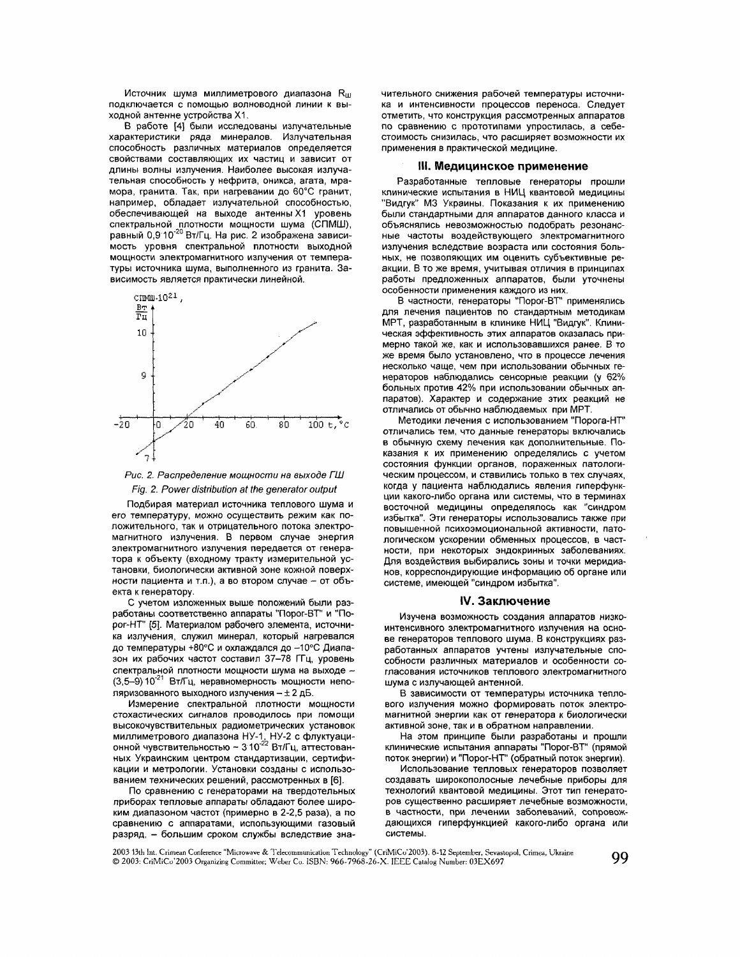Источник шума миллиметрового диапазона  $R_{00}$ подключается с помощью волноводной линии к выходной антенне устройства X1.

В работе [4] были исследованы излучательные характеристики ряда минералов. Излучательная способность различных материалов определяется свойствами составляющих их частиц и зависит от длины волны излучения. Наиболее высокая излучательная способность у нефрита, оникса, агата, мрамора, гранита. Так, при нагревании до 60°С гранит, например, обладает излучательной способностью, обеспечивающей на выходе антенны X1 уровень спектральной плотности мощности шума (СПМШ),<br>равный 0,9 10<sup>-20</sup> Вт/Гц. На рис. 2 изображена зависимость уровня спектральной плотности выходной мощности электромагнитного излучения от температуры источника шума, выполненного из гранита. Зависимость является практически линейной.





Подбирая материал источника теплового шума и его температуру, можно осуществить режим как положительного, так и отрицательного потока электромагнитного излучения. В первом случае энергия электромагнитного излучения передается от генератора к объекту (входному тракту измерительной установки, биологически активной зоне кожной поверхности пациента и т.п.), а во втором случае - от объекта к генератору.

С учетом изложенных выше положений были разработаны соответственно аппараты "Порог-ВТ" и "Порог-НТ" [5]. Материалом рабочего элемента, источника излучения, служил минерал, который нагревался до температуры +80°С и охлаждался до -10°С Диапазон их рабочих частот составил 37-78 ГГц, уровень спектральной плотности мощности шума на выходе -(3,5-9) 10<sup>-21</sup> Вт/Гц, неравномерность мощности неполяризованного выходного излучения - ± 2 дБ.

Измерение спектральной плотности мощности стохастических сигналов проводилось при помощи высокочувствительных радиометрических установок миллиметрового диапазона НУ-1, НУ-2 с флуктуаци-<br>онной чувствительностью ~ 3 10<sup>-22</sup> Вт/Гц, аттестованных Украинским центром стандартизации, сертификации и метрологии. Установки созданы с использованием технических решений, рассмотренных в [6].

По сравнению с генераторами на твердотельных приборах тепловые аппараты обладают более широким диапазоном частот (примерно в 2-2,5 раза), а по сравнению с аппаратами, использующими газовый разряд, - большим сроком службы вследствие значительного снижения рабочей температуры источника и интенсивности процессов переноса. Следует отметить, что конструкция рассмотренных аппаратов по сравнению с прототипами упростилась, а себестоимость снизилась, что расширяет возможности их применения в практической медицине.

## **III. Медицинское применение**

Разработанные тепловые генераторы прошли клинические испытания в НИЦ квантовой медицины "Видгук" МЗ Украины. Показания к их применению были стандартными для аппаратов данного класса и объяснялись невозможностью подобрать резонансные частоты воздействующего электромагнитного излучения вследствие возраста или состояния больных, не позволяющих им оценить субъективные реакции. В то же время, учитывая отличия в принципах работы предложенных аппаратов, были уточнены особенности применения каждого из них.

В частности, генераторы "Порог-ВТ" применялись для лечения пациентов по стандартным методикам МРТ, разработанным в клинике НИЦ "Видгук". Клиническая эффективность этих аппаратов оказалась примерно такой же, как и использовавшихся ранее. В то же время было установлено, что в процессе лечения несколько чаще, чем при использовании обычных генераторов наблюдались сенсорные реакции (у 62% больных против 42% при использовании обычных аппаратов). Характер и содержание этих реакций не отличались от обычно наблюдаемых при MPT.

Методики лечения с использованием "Порога-НТ" отличались тем, что данные генераторы включались в обычную схему лечения как дополнительные. Показания к их применению определялись с учетом состояния функции органов, пораженных патологическим процессом, и ставились только в тех случаях, когда у пациента наблюдались явления гиперфункции какого-либо органа или системы, что в терминах восточной медицины определялось как "синдром избытка". Эти генераторы использовались также при повышенной психоэмоциональной активности, патологическом ускорении обменных процессов, в частности, при некоторых эндокринных заболеваниях. Для воздействия выбирались зоны и точки меридианов, корреспондирующие информацию об органе или системе, имеющей "синдром избытка".

## **IV. Заключение**

Изучена возможность создания аппаратов низкоинтенсивного электромагнитного излучения на основе генераторов теплового шума. В конструкциях разработанных аппаратов учтены излучательные способности различных материалов и особенности согласования источников теплового электромагнитного шума с излучающей антенной.

В зависимости от температуры источника теплового излучения можно формировать поток электромагнитной энергии как от генератора к биологически активной зоне, так и в обратном направлении.

На этом принципе были разработаны и прошли клинические испытания аппараты "Порог-ВТ" (прямой поток энергии) и "Порог-НТ" (обратный поток энергии).

Использование тепловых генераторов позволяет создавать широкополосные лечебные приборы для технологий квантовой медицины. Этот тип генераторов существенно расширяет лечебные возможности, в частности, при лечении заболеваний, сопровождающихся гиперфункцией какого-либо органа или системы.

2003 13th Int. Crimean Conference "Microwave & Telecommunication Technology" (CriMiCo'2003). 8-12 September, Sevastopol, Crimea, Ukraine @ 2003: CriMiCo'2003 Organizing Committee; Weber Co. ISBN: 966-7968-26-X. IEEE Catalog Number: 03EX697